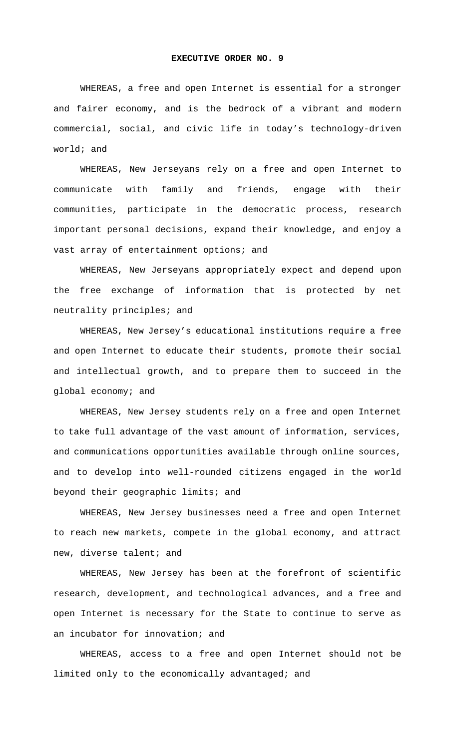## **EXECUTIVE ORDER NO. 9**

 WHEREAS, a free and open Internet is essential for a stronger and fairer economy, and is the bedrock of a vibrant and modern commercial, social, and civic life in today's technology-driven world; and

 WHEREAS, New Jerseyans rely on a free and open Internet to communicate with family and friends, engage with their communities, participate in the democratic process, research important personal decisions, expand their knowledge, and enjoy a vast array of entertainment options; and

 WHEREAS, New Jerseyans appropriately expect and depend upon the free exchange of information that is protected by net neutrality principles; and

 WHEREAS, New Jersey's educational institutions require a free and open Internet to educate their students, promote their social and intellectual growth, and to prepare them to succeed in the global economy; and

 WHEREAS, New Jersey students rely on a free and open Internet to take full advantage of the vast amount of information, services, and communications opportunities available through online sources, and to develop into well-rounded citizens engaged in the world beyond their geographic limits; and

 WHEREAS, New Jersey businesses need a free and open Internet to reach new markets, compete in the global economy, and attract new, diverse talent; and

 WHEREAS, New Jersey has been at the forefront of scientific research, development, and technological advances, and a free and open Internet is necessary for the State to continue to serve as an incubator for innovation; and

 WHEREAS, access to a free and open Internet should not be limited only to the economically advantaged; and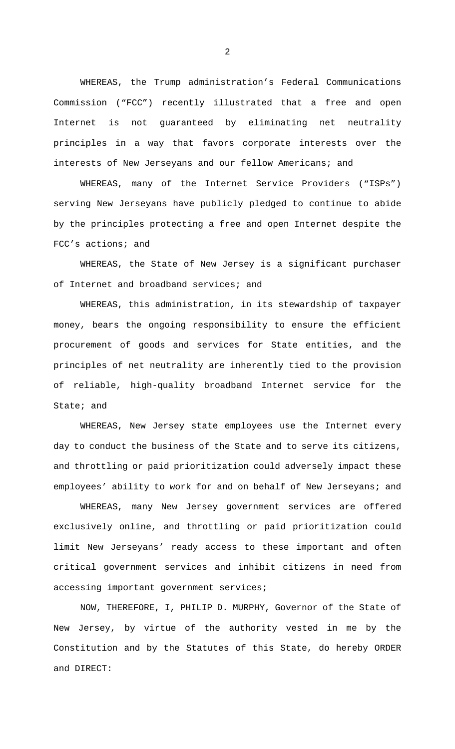WHEREAS, the Trump administration's Federal Communications Commission ("FCC") recently illustrated that a free and open Internet is not guaranteed by eliminating net neutrality principles in a way that favors corporate interests over the interests of New Jerseyans and our fellow Americans; and

 WHEREAS, many of the Internet Service Providers ("ISPs") serving New Jerseyans have publicly pledged to continue to abide by the principles protecting a free and open Internet despite the FCC's actions; and

 WHEREAS, the State of New Jersey is a significant purchaser of Internet and broadband services; and

 WHEREAS, this administration, in its stewardship of taxpayer money, bears the ongoing responsibility to ensure the efficient procurement of goods and services for State entities, and the principles of net neutrality are inherently tied to the provision of reliable, high-quality broadband Internet service for the State; and

 WHEREAS, New Jersey state employees use the Internet every day to conduct the business of the State and to serve its citizens, and throttling or paid prioritization could adversely impact these employees' ability to work for and on behalf of New Jerseyans; and

 WHEREAS, many New Jersey government services are offered exclusively online, and throttling or paid prioritization could limit New Jerseyans' ready access to these important and often critical government services and inhibit citizens in need from accessing important government services;

 NOW, THEREFORE, I, PHILIP D. MURPHY, Governor of the State of New Jersey, by virtue of the authority vested in me by the Constitution and by the Statutes of this State, do hereby ORDER and DIRECT:

2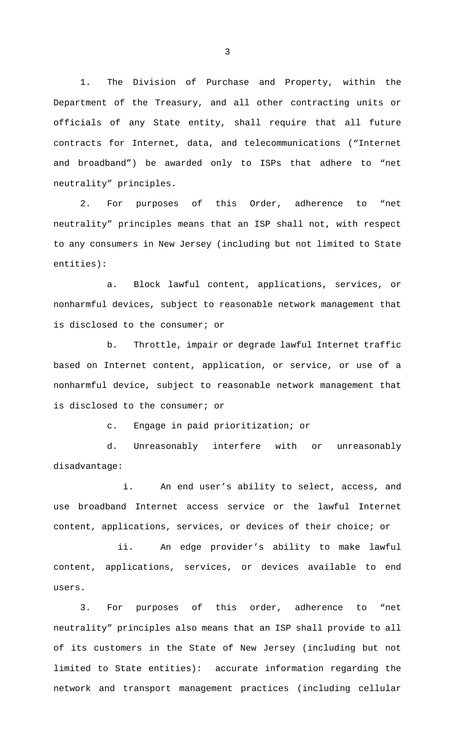1. The Division of Purchase and Property, within the Department of the Treasury, and all other contracting units or officials of any State entity, shall require that all future contracts for Internet, data, and telecommunications ("Internet and broadband") be awarded only to ISPs that adhere to "net neutrality" principles.

2. For purposes of this Order, adherence to "net neutrality" principles means that an ISP shall not, with respect to any consumers in New Jersey (including but not limited to State entities):

a. Block lawful content, applications, services, or nonharmful devices, subject to reasonable network management that is disclosed to the consumer; or

b. Throttle, impair or degrade lawful Internet traffic based on Internet content, application, or service, or use of a nonharmful device, subject to reasonable network management that is disclosed to the consumer; or

c. Engage in paid prioritization; or

d. Unreasonably interfere with or unreasonably disadvantage:

i. An end user's ability to select, access, and use broadband Internet access service or the lawful Internet content, applications, services, or devices of their choice; or

ii. An edge provider's ability to make lawful content, applications, services, or devices available to end users.

3. For purposes of this order, adherence to "net neutrality" principles also means that an ISP shall provide to all of its customers in the State of New Jersey (including but not limited to State entities): accurate information regarding the network and transport management practices (including cellular

3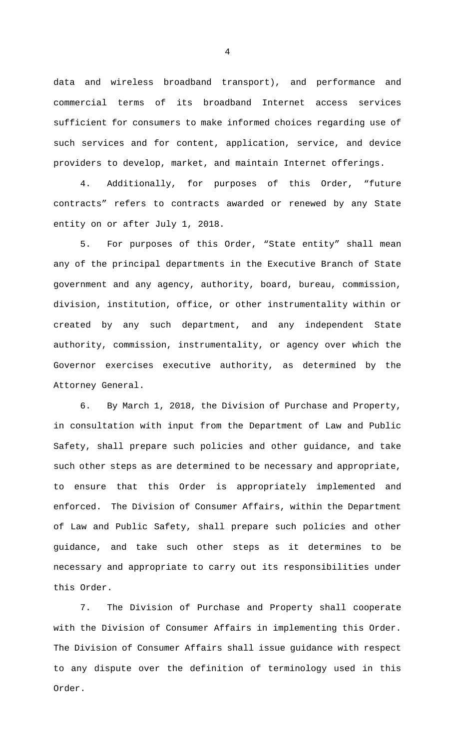data and wireless broadband transport), and performance and commercial terms of its broadband Internet access services sufficient for consumers to make informed choices regarding use of such services and for content, application, service, and device providers to develop, market, and maintain Internet offerings.

4. Additionally, for purposes of this Order, "future contracts" refers to contracts awarded or renewed by any State entity on or after July 1, 2018.

5. For purposes of this Order, "State entity" shall mean any of the principal departments in the Executive Branch of State government and any agency, authority, board, bureau, commission, division, institution, office, or other instrumentality within or created by any such department, and any independent State authority, commission, instrumentality, or agency over which the Governor exercises executive authority, as determined by the Attorney General.

6. By March 1, 2018, the Division of Purchase and Property, in consultation with input from the Department of Law and Public Safety, shall prepare such policies and other guidance, and take such other steps as are determined to be necessary and appropriate, to ensure that this Order is appropriately implemented and enforced. The Division of Consumer Affairs, within the Department of Law and Public Safety, shall prepare such policies and other guidance, and take such other steps as it determines to be necessary and appropriate to carry out its responsibilities under this Order.

7. The Division of Purchase and Property shall cooperate with the Division of Consumer Affairs in implementing this Order. The Division of Consumer Affairs shall issue guidance with respect to any dispute over the definition of terminology used in this Order.

4